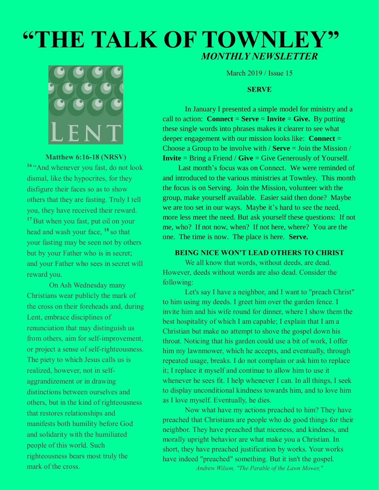# **"THE TALK OF TOWNLEY"** *MONTHLY NEWSLETTER*



#### **Matthew 6:16-18 (NRSV)**

**16** "And whenever you fast, do not look dismal, like the hypocrites, for they disfigure their faces so as to show others that they are fasting. Truly I tell you, they have received their reward. **<sup>17</sup>** But when you fast, put oil on your head and wash your face, **<sup>18</sup>** so that your fasting may be seen not by others but by your Father who is in secret; and your Father who sees in secret will reward you.

On Ash Wednesday many Christians wear publicly the mark of the cross on their foreheads and, during Lent, embrace disciplines of renunciation that may distinguish us from others, aim for self-improvement, or project a sense of self-righteousness. The piety to which Jesus calls us is realized, however, not in selfaggrandizement or in drawing distinctions between ourselves and others, but in the kind of righteousness that restores relationships and manifests both humility before God and solidarity with the humiliated people of this world. Such righteousness bears most truly the mark of the cross.

March 2019 / Issue 15

#### **SERVE**

In January I presented a simple model for ministry and a call to action: **Connect** = **Serve** = **Invite** = **Give.** By putting these single words into phrases makes it clearer to see what deeper engagement with our mission looks like: **Connect** = Choose a Group to be involve with / **Serve** = Join the Mission / **Invite** = Bring a Friend / **Give** = Give Generously of Yourself.

Last month's focus was on Connect. We were reminded of and introduced to the various ministries at Townley. This month the focus is on Serving. Join the Mission, volunteer with the group, make yourself available. Easier said then done? Maybe we are too set in our ways. Maybe it's hard to see the need, more less meet the need. But ask yourself these questions: If not me, who? If not now, when? If not here, where? You are the one. The time is now. The place is here. **Serve.**

## **BEING NICE WON'T LEAD OTHERS TO CHRIST**

We all know that words, without deeds, are dead. However, deeds without words are also dead. Consider the following:

Let's say I have a neighbor, and I want to "preach Christ" to him using my deeds. I greet him over the garden fence. I invite him and his wife round for dinner, where I show them the best hospitality of which I am capable; I explain that I am a Christian but make no attempt to shove the gospel down his throat. Noticing that his garden could use a bit of work, I offer him my lawnmower, which he accepts, and eventually, through repeated usage, breaks. I do not complain or ask him to replace it; I replace it myself and continue to allow him to use it whenever he sees fit. I help whenever I can. In all things, I seek to display unconditional kindness towards him, and to love him as I love myself. Eventually, he dies.

Now what have my actions preached to him? They have preached that Christians are people who do good things for their neighbor. They have preached that niceness, and kindness, and morally upright behavior are what make you a Christian. In short, they have preached justification by works. Your works have indeed "preached" something. But it isn't the gospel. *Andrew Wilson, "The Parable of the Lawn Mower,"*